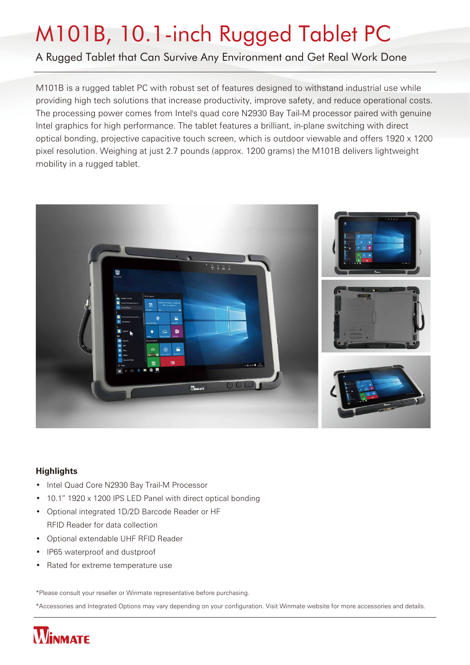# M101B, 10.1-inch Rugged Tablet PC

## A Rugged Tablet that Can Survive Any Environment and Get Real Work Done

M101B is a rugged tablet PC with robust set of features designed to withstand industrial use while providing high tech solutions that increase productivity, improve safety, and reduce operational costs. The processing power comes from Intel's quad core N2930 Bay Tail-M processor paired with genuine Intel graphics for high performance. The tablet features a brilliant, in-plane switching with direct optical bonding, projective capacitive touch screen, which is outdoor viewable and offers 1920 x 1200 pixel resolution. Weighing at just 2.7 pounds (approx. 1200 grams) the M101B delivers lightweight mobility in a rugged tablet.



### **Highlights**

- Intel Quad Core N2930 Bay Trail-M Processor
- 10.1" 1920 x 1200 IPS LED Panel with direct optical bonding
- Optional integrated 1D/2D Barcode Reader or HF RFID Reader for data collection
- Optional extendable UHF RFID Reader
- IP65 waterproof and dustproof
- Rated for extreme temperature use

\*Please consult your reseller or Winmate representative before purchasing.

\*Accessories and Integrated Options may vary depending on your configuration. Visit Winmate website for more accessories and details.